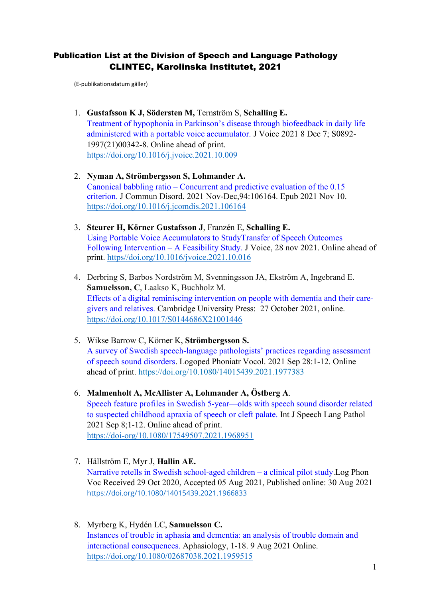# Publication List at the Division of Speech and Language Pathology CLINTEC, Karolinska Institutet, 2021

(E-publikationsdatum gäller)

- 1. **Gustafsson K J, Södersten M,** Ternström S, **Schalling E.** Treatment of hypophonia in Parkinson's disease through biofeedback in daily life administered with a portable voice accumulator. J Voice 2021 8 Dec 7; S0892- 1997(21)00342-8. Online ahead of print. <https://doi.org/10.1016/j.jvoice.2021.10.009>
- 2. **Nyman A, Strömbergsson S, Lohmander A.** Canonical babbling ratio – Concurrent and predictive evaluation of the 0.15 criterion. J Commun Disord. 2021 Nov-Dec,94:106164. Epub 2021 Nov 10. <https://doi.org/10.1016/j.jcomdis.2021.106164>
- 3. **Steurer H, Körner Gustafsson J**, Franzén E, **Schalling E.** Using Portable Voice Accumulators to StudyTransfer of Speech Outcomes Following Intervention – A Feasibility Study. J Voice, 28 nov 2021. Online ahead of print. https//doi.org/10.1016/jvoice.2021.10.016
- 4. Derbring S, Barbos Nordström M, Svenningsson JA, Ekström A, Ingebrand E. **Samuelsson, C**, Laakso K, Buchholz M. Effects of a digital reminiscing intervention on people with dementia and their caregivers and relatives. Cambridge University Press: 27 October 2021, online. <https://doi.org/10.1017/S0144686X21001446>
- 5. Wikse Barrow C, Körner K, **Strömbergsson S.** A survey of Swedish speech-language pathologists' practices regarding assessment of speech sound disorders. Logoped Phoniatr Vocol. 2021 Sep 28:1-12. Online ahead of print.<https://doi.org/10.1080/14015439.2021.1977383>
- 6. **Malmenholt A, McAllister A, Lohmander A, Östberg A**. Speech feature profiles in Swedish 5-year—olds with speech sound disorder related to suspected childhood apraxia of speech or cleft palate. Int J Speech Lang Pathol 2021 Sep 8;1-12. Online ahead of print. <https://doi-org/10.1080/17549507.2021.1968951>
- 7. Hällström E, Myr J, **Hallin AE.**  Narrative retells in Swedish school-aged children – a clinical pilot study.Log Phon Voc Received 29 Oct 2020, Accepted 05 Aug 2021, Published online: 30 Aug 2021 <https://doi.org/10.1080/14015439.2021.1966833>
- 8. Myrberg K, Hydén LC, **Samuelsson C.**  Instances of trouble in aphasia and dementia: an analysis of trouble domain and interactional consequences. Aphasiology, 1-18. 9 Aug 2021 Online. <https://doi.org/10.1080/02687038.2021.1959515>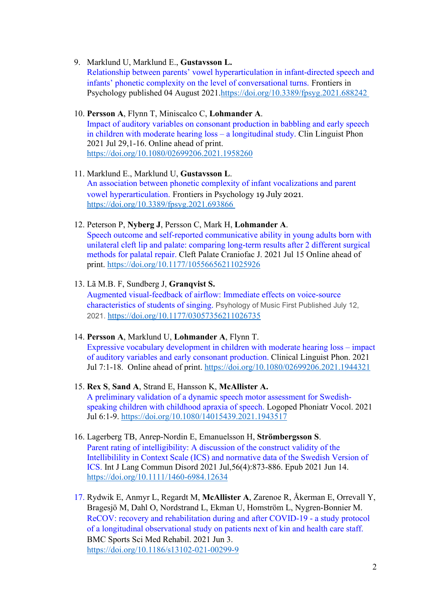### 9. Marklund U, Marklund E., **Gustavsson L.**

Relationship between parents' vowel hyperarticulation in infant-directed speech and infants' phonetic complexity on the level of conversational turns. Frontiers in Psychology published 04 August 2021[.https://doi.org/10.3389/fpsyg.2021.688242](https://doi.org/10.3389/fpsyg.2021.688242)

### 10. **Persson A**, Flynn T, Miniscalco C, **Lohmander A**.

Impact of auditory variables on consonant production in babbling and early speech in children with moderate hearing loss – a longitudinal study. Clin Linguist Phon 2021 Jul 29,1-16. Online ahead of print. <https://doi.org/10.1080/02699206.2021.1958260>

#### 11. Marklund E., Marklund U, **Gustavsson L**. An association between phonetic complexity of infant vocalizations and parent vowel hyperarticulation. Frontiers in Psychology 19 July 2021. <https://doi.org/10.3389/fpsyg.2021.693866>

#### 12. Peterson P, **Nyberg J**, Persson C, Mark H, **Lohmander A**.

Speech outcome and self-reported communicative ability in young adults born with unilateral cleft lip and palate: comparing long-term results after 2 different surgical methods for palatal repair. Cleft Palate Craniofac J. 2021 Jul 15 Online ahead of print. <https://doi.org/10.1177/10556656211025926>

## 13. Lã M.B. F, Sundberg J, **Granqvist S.**

Augmented visual-feedback of airflow: Immediate effects on voice-source characteristics of students of singing. Psyhology of Music First Published July 12, 2021. [https://doi.org/10.1177/03057356211026735](https://doi.org/10.1177%2F03057356211026735)

#### 14. **Persson A**, Marklund U, **Lohmander A**, Flynn T.

Expressive vocabulary development in children with moderate hearing loss – impact of auditory variables and early consonant production. Clinical Linguist Phon. 2021 Jul 7:1-18. Online ahead of print. <https://doi.org/10.1080/02699206.2021.1944321>

#### 15. **Rex S**, **Sand A**, Strand E, Hansson K, **McAllister A.** [A preliminary validation of a dynamic speech motor assessment for Swedish](https://pubmed-ncbi-nlm-nih-gov.proxy.kib.ki.se/34227450/)[speaking children with childhood apraxia of speech.](https://pubmed-ncbi-nlm-nih-gov.proxy.kib.ki.se/34227450/) Logoped Phoniatr Vocol. 2021 Jul 6:1-9.<https://doi.org/10.1080/14015439.2021.1943517>

- 16. Lagerberg TB, Anrep-Nordin E, Emanuelsson H, **Strömbergsson S**. Parent rating of intelligibility: A discussion of the construct validity of the Intellibilility in Context Scale (ICS) and normative data of the Swedish Version of ICS. Int J Lang Commun Disord 2021 Jul,56(4):873-886. Epub 2021 Jun 14. <https://doi.org/10.1111/1460-6984.12634>
- 17. Rydwik E, Anmyr L, Regardt M, **McAllister A**, Zarenoe R, Åkerman E, Orrevall Y, Bragesjö M, Dahl O, Nordstrand L, Ekman U, Homström L, Nygren-Bonnier M. ReCOV: recovery and rehabilitation during and after COVID-19 - a study protocol of a longitudinal observational study on patients next of kin and health care staff. BMC Sports Sci Med Rehabil. 2021 Jun 3. <https://doi.org/10.1186/s13102-021-00299-9>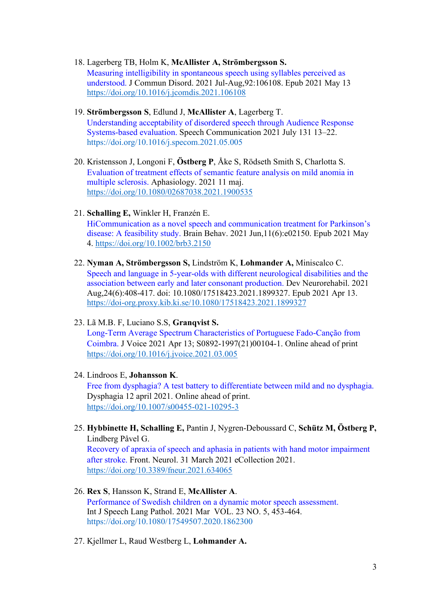- 18. Lagerberg TB, Holm K, **McAllister A, Strömbergsson S.** Measuring intelligibility in spontaneous speech using syllables perceived as understood. J Commun Disord. 2021 Jul-Aug,92:106108. Epub 2021 May 13 <https://doi.org/10.1016/j.jcomdis.2021.106108>
- 19. **Strömbergsson S**, Edlund J, **McAllister A**, Lagerberg T. Understanding acceptability of disordered speech through Audience Response Systems-based evaluation. Speech Communication 2021 July 131 13–22. <https://doi.org/10.1016/j.specom.2021.05.005>
- 20. Kristensson J, Longoni F, **Östberg P**, Åke S, Rödseth Smith S, Charlotta S. Evaluation of treatment effects of semantic feature analysis on mild anomia in multiple sclerosis. Aphasiology. 2021 11 maj. <https://doi.org/10.1080/02687038.2021.1900535>
- 21. **Schalling E,** Winkler H, Franzén E.

HiCommunication as a novel speech and communication treatment for Parkinson's disease: A feasibility study. Brain Behav. 2021 Jun,11(6):e02150. Epub 2021 May 4. <https://doi.org/10.1002/brb3.2150>

- 22. **Nyman A, Strömbergsson S,** Lindström K, **Lohmander A,** Miniscalco C. Speech and language in 5-year-olds with different neurological disabilities and the association between early and later consonant production. Dev Neurorehabil. 2021 Aug,24(6):408-417. doi: 10.1080/17518423.2021.1899327. Epub 2021 Apr 13. <https://doi-org.proxy.kib.ki.se/10.1080/17518423.2021.1899327>
- 23. Lã M.B. F, Luciano S.S, **Granqvist S.** Long-Term Average Spectrum Characteristics of Portuguese Fado-Canção from Coimbra. J Voice 2021 Apr 13; S0892-1997(21)00104-1. Online ahead of print [https://doi.org/10.1016/j.jvoice.2021.03.005](https://doi-org.proxy.kib.ki.se/10.1016/j.jvoice.2021.03.005)
- 24. Lindroos E, **Johansson K**. Free from dysphagia? A test battery to differentiate between mild and no dysphagia. Dysphagia 12 april 2021. Online ahead of print. <https://doi.org/10.1007/s00455-021-10295-3>
- 25. **Hybbinette H, Schalling E,** Pantin J, Nygren-Deboussard C, **Schütz M, Östberg P,** Lindberg Påvel G.

Recovery of apraxia of speech and aphasia in patients with hand motor impairment after stroke. Front. Neurol. 31 March 2021 eCollection 2021. <https://doi.org/10.3389/fneur.2021.634065>

- 26. **Rex S**, Hansson K, Strand E, **McAllister A**. Performance of Swedish children on a dynamic motor speech assessment. Int J Speech Lang Pathol. 2021 Mar VOL. 23 NO. 5, 453-464. https://doi.org[/10.1080/17549507.2020.1862300](https://doi-org.proxy.kib.ki.se/10.1080/17549507.2020.1862300)
- 27. Kjellmer L, Raud Westberg L, **Lohmander A.**